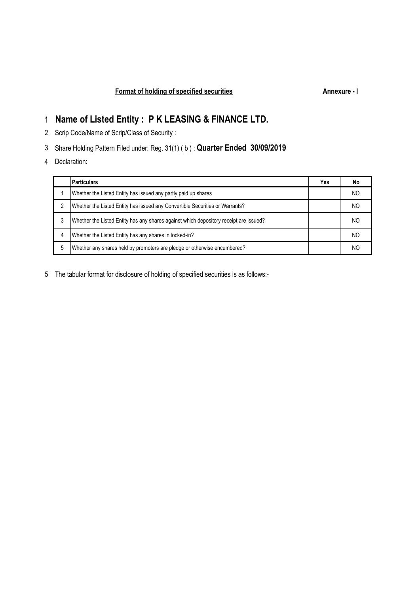# **Name of Listed Entity : P K LEASING & FINANCE LTD.**

- Scrip Code/Name of Scrip/Class of Security :
- Share Holding Pattern Filed under: Reg. 31(1) ( b ) : **Quarter Ended 30/09/2019**
- Declaration:

|   | <b>Particulars</b>                                                                    | Yes | No  |
|---|---------------------------------------------------------------------------------------|-----|-----|
|   | Whether the Listed Entity has issued any partly paid up shares                        |     | NO  |
|   | Whether the Listed Entity has issued any Convertible Securities or Warrants?          |     | NO. |
|   | Whether the Listed Entity has any shares against which depository receipt are issued? |     | NC  |
| 4 | Whether the Listed Entity has any shares in locked-in?                                |     | NO. |
|   | Whether any shares held by promoters are pledge or otherwise encumbered?              |     | ΝC  |

The tabular format for disclosure of holding of specified securities is as follows:-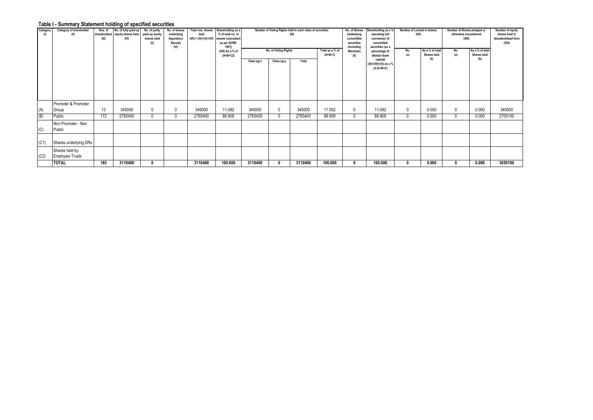## **Table I - Summary Statement holding of specified securities**

| Category<br>(1) | Category of shareholder<br>(II)          | Nos. of<br>(III) | No. of fully paid-up<br>shareholders equity shares held<br>(IV) | No. of partly<br>paid-up equity<br>shares held<br>(V) | No. of shares<br>underlying<br>Depository<br>Receipt<br>(VI) | Total nos. shares<br>held<br>$(VII) = (IV)+(V)+(VI)$ | Shareholding as a<br>% of total no. of<br>shares (calculated<br>as per SCRR,<br>1957)<br>(VIII) As a % of | Number of Voting Rights held in each class of securities<br>(IX)<br>No. of Voting Rights<br>Total as a % of |            |         |           | No. of Shares<br>Underlying<br>convertible<br>securities<br>(Including<br>Warrants) | Shareholding as a %<br>assuming full<br>conversion of<br>convertible<br>securities (as a<br>percentage of | Number of Locked in shares<br>(XII)<br>As a % of total<br>No. |                    | Number of Shares pledged or<br>otherwise encumbered<br>(XIiI)<br>As a % of total<br>No. |                    | Number of equity<br>shares held in<br>dematerialized form<br>(XIV) |
|-----------------|------------------------------------------|------------------|-----------------------------------------------------------------|-------------------------------------------------------|--------------------------------------------------------------|------------------------------------------------------|-----------------------------------------------------------------------------------------------------------|-------------------------------------------------------------------------------------------------------------|------------|---------|-----------|-------------------------------------------------------------------------------------|-----------------------------------------------------------------------------------------------------------|---------------------------------------------------------------|--------------------|-----------------------------------------------------------------------------------------|--------------------|--------------------------------------------------------------------|
|                 |                                          |                  |                                                                 |                                                       |                                                              |                                                      | $(A+B+C2)$                                                                                                | Class eg:x                                                                                                  | Class eg:y | Total   | $(A+B+C)$ | (X)                                                                                 | diluted share<br>capital)<br>$(XI) = (VII) + (X)$ as a %<br>of (A+B+C)                                    | (a)                                                           | Shares held<br>(b) | (a)                                                                                     | Shares held<br>(b) |                                                                    |
| (A)             | Promoter & Promoter<br>Group             | 13               | 345000                                                          | $\mathbf{0}$                                          | 0                                                            | 345000                                               | 11.092                                                                                                    | 345000                                                                                                      | 0          | 345000  | 11.092    | $^{\circ}$                                                                          | 11.092                                                                                                    | $\mathbf{0}$                                                  | 0.000              | 0                                                                                       | 0.000              | 345000                                                             |
| (B)             | Public                                   | 172              | 2765400                                                         | $\Omega$                                              | 0                                                            | 2765400                                              | 88.908                                                                                                    | 2765400                                                                                                     | $\Omega$   | 2765400 | 88.908    | $\Omega$                                                                            | 88.908                                                                                                    |                                                               | 0.000              | $\mathbf{0}$                                                                            | 0.000              | 2705100                                                            |
| (C)             | Non Promoter - Non<br>Public             |                  |                                                                 |                                                       |                                                              |                                                      |                                                                                                           |                                                                                                             |            |         |           |                                                                                     |                                                                                                           |                                                               |                    |                                                                                         |                    |                                                                    |
| (C1)            | Shares underlying DRs                    |                  |                                                                 |                                                       |                                                              |                                                      |                                                                                                           |                                                                                                             |            |         |           |                                                                                     |                                                                                                           |                                                               |                    |                                                                                         |                    |                                                                    |
| (C2)            | Shares held by<br><b>Employee Trusts</b> |                  |                                                                 |                                                       |                                                              |                                                      |                                                                                                           |                                                                                                             |            |         |           |                                                                                     |                                                                                                           |                                                               |                    |                                                                                         |                    |                                                                    |
|                 | <b>TOTAL</b>                             | 185              | 3110400                                                         |                                                       |                                                              | 3110400                                              | 100.000                                                                                                   | 3110400                                                                                                     |            | 3110400 | 100.000   | 0                                                                                   | 100.000                                                                                                   |                                                               | 0.000              |                                                                                         | 0.000              | 3050100                                                            |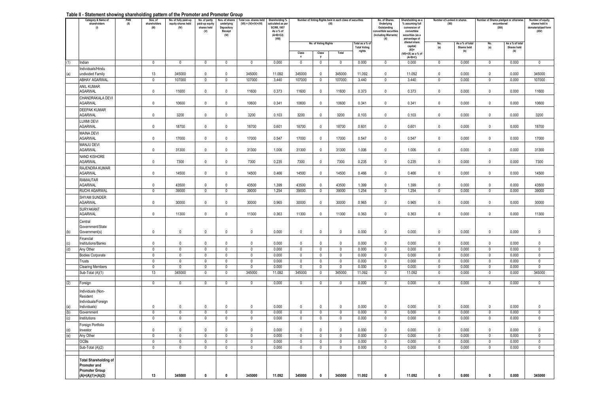#### **Table II - Statement showing shareholding pattern of the Promoter and Promoter Group**

|     | Category & Name of<br>shareholders<br>(1)                                                    | PAN<br>(II) | Nos. of<br>shareholders<br>(III) | No. of fully paid-up<br>equity shares held<br>(IV) | No. of partly<br>paid-up equity<br>shares held<br>(V) | Vos, of shares<br>underlying<br>Depository<br>Receipt<br>(VI) | Total nos, shares held<br>$(VII) = (IV)+(V)+(VI)$ | Shareholding %<br>calculated as per<br><b>SCRR, 1957</b><br>As a % of<br>$(A+B+C2)$<br>(VIII) |                       |                            | Number of Voting Rights held in each class of securities<br>(IX) |                                        | No. of Shares<br>Underlying<br>Outstanding<br>onvertible securitie<br>(Including Warrants)<br>(X) | Shareholding as a<br>% assuming full<br>conversion of<br>convertible<br>securities (as a<br>percentage of |                     | Number of Locked in shares<br>(XII) |             | <b>Number of Shares pledged or otherwise</b><br>encumbered<br>(XIil) | Number of equity<br>shares held in<br>dematerialized form<br>(XIV) |
|-----|----------------------------------------------------------------------------------------------|-------------|----------------------------------|----------------------------------------------------|-------------------------------------------------------|---------------------------------------------------------------|---------------------------------------------------|-----------------------------------------------------------------------------------------------|-----------------------|----------------------------|------------------------------------------------------------------|----------------------------------------|---------------------------------------------------------------------------------------------------|-----------------------------------------------------------------------------------------------------------|---------------------|-------------------------------------|-------------|----------------------------------------------------------------------|--------------------------------------------------------------------|
|     |                                                                                              |             |                                  |                                                    |                                                       |                                                               |                                                   |                                                                                               |                       | No. of Voting Rights       |                                                                  | Total as a % of<br><b>Total Voting</b> |                                                                                                   | diluted share<br>capital)                                                                                 | No.<br>(a)          | As a % of total<br>Shares held      | No.<br>(a)  | As a % of total<br><b>Shares held</b>                                |                                                                    |
|     |                                                                                              |             |                                  |                                                    |                                                       |                                                               |                                                   |                                                                                               | Class<br>$\mathbf{x}$ | Class                      | Total                                                            | rights                                 |                                                                                                   | $(XI)$ =<br>$(VII)+(X)$ as a % of<br>$(A+B+C)$                                                            |                     | (b)                                 |             | (b)                                                                  |                                                                    |
| (1) | Indian                                                                                       |             | $\mathbf 0$                      | $\mathbf 0$                                        | $\mathbf 0$                                           | $\mathbf 0$                                                   | $\mathbf 0$                                       | 0.000                                                                                         | $\mathbf 0$           | $\overline{0}$             | 0                                                                | 0.000                                  | $\mathbf 0$                                                                                       | 0.000                                                                                                     | $\mathbf 0$         | 0.000                               | 0           | 0.000                                                                | $\overline{0}$                                                     |
| (a) | Individuals/Hindu<br>undivided Family                                                        |             | 13                               | 345000                                             | $\mathbf{0}$                                          | $\mathbf 0$                                                   | 345000                                            | 11.092                                                                                        | 345000                | $\mathbf 0$                | 345000                                                           | 11.092                                 | 0                                                                                                 | 11.092                                                                                                    | $\mathbf 0$         | 0.000                               | $\mathbf 0$ | 0.000                                                                | 345000                                                             |
|     | ABHAY AGARWAL<br><b>ANIL KUMAR</b>                                                           |             | 0                                | 107000                                             | 0                                                     | 0                                                             | 107000                                            | 3.440                                                                                         | 107000                | 0                          | 107000                                                           | 3.440                                  | $\Omega$                                                                                          | 3.440                                                                                                     | $\mathbf 0$         | 0.000                               | 0           | 0.000                                                                | 107000                                                             |
|     | <b>AGARWAL</b><br>CHANDRAKALA DEVI                                                           |             | $\mathbf 0$                      | 11600                                              | $\Omega$                                              | $\mathbf 0$                                                   | 11600                                             | 0.373                                                                                         | 11600                 | $\mathbb O$                | 11600                                                            | 0.373                                  | $\Omega$                                                                                          | 0.373                                                                                                     | $\mathbf 0$         | 0.000                               | $\mathbf 0$ | 0.000                                                                | 11600                                                              |
|     | <b>AGARWAL</b>                                                                               |             | $\mathbf 0$                      | 10600                                              | $^{\circ}$                                            | $\mathbf 0$                                                   | 10600                                             | 0.341                                                                                         | 10600                 | $\mathbf{0}$               | 10600                                                            | 0.341                                  | $\mathbf 0$                                                                                       | 0.341                                                                                                     | $\mathbf 0$         | 0.000                               | $\mathbf 0$ | 0.000                                                                | 10600                                                              |
|     | <b>DEEPAK KUMAR</b><br><b>AGARWAL</b>                                                        |             | $\mathbf 0$                      | 3200                                               | 0                                                     | 0                                                             | 3200                                              | 0.103                                                                                         | 3200                  | $\mathbf 0$                | 3200                                                             | 0.103                                  | 0                                                                                                 | 0.103                                                                                                     | 0                   | 0.000                               | 0           | 0.000                                                                | 3200                                                               |
|     | LUXMI DEVI<br><b>AGARWAL</b>                                                                 |             | $\mathbb O$                      | 18700                                              | $^{\circ}$                                            | $\mathbf 0$                                                   | 18700                                             | 0.601                                                                                         | 18700                 | $\mathbf 0$                | 18700                                                            | 0.601                                  | $\mathbf 0$                                                                                       | 0.601                                                                                                     | $\mathsf{O}\xspace$ | 0.000                               | $\mathbf 0$ | 0.000                                                                | 18700                                                              |
|     | <b>MAINA DEVI</b><br><b>AGARWAL</b>                                                          |             | $\mathbf 0$                      | 17000                                              | $\Omega$                                              | $\mathbf 0$                                                   | 17000                                             | 0.547                                                                                         | 17000                 | $\mathbf 0$                | 17000                                                            | 0.547                                  | $\mathbf{0}$                                                                                      | 0.547                                                                                                     | $\mathbf 0$         | 0.000                               | $\mathbf 0$ | 0.000                                                                | 17000                                                              |
|     | MANJU DEVI<br>AGARWAL                                                                        |             | $\mathbf 0$                      | 31300                                              | $\Omega$                                              | 0                                                             | 31300                                             | 1.006                                                                                         | 31300                 | $\mathbf 0$                | 31300                                                            | 1.006                                  | $\mathbf 0$                                                                                       | 1.006                                                                                                     | 0                   | 0.000                               | 0           | 0.000                                                                | 31300                                                              |
|     | <b>NAND KISHORE</b><br><b>AGARWAL</b>                                                        |             | $\mathbb O$                      | 7300                                               | $\mathbf{0}$                                          | 0                                                             | 7300                                              | 0.235                                                                                         | 7300                  | $\mathbf 0$                | 7300                                                             | 0.235                                  | 0                                                                                                 | 0.235                                                                                                     | 0                   | 0.000                               | 0           | 0.000                                                                | 7300                                                               |
|     | RAJENDRA KUMAR<br><b>AGARWAL</b>                                                             |             | $\mathbf 0$                      | 14500                                              | $\mathbf 0$                                           | $\mathbf 0$                                                   | 14500                                             | 0.466                                                                                         | 14500                 | $\mathbf{0}$               | 14500                                                            | 0.466                                  | $\mathbf 0$                                                                                       | 0.466                                                                                                     | $\mathbf 0$         | 0.000                               | $\mathbf 0$ | 0.000                                                                | 14500                                                              |
|     | RAMAUTAR<br><b>AGARWAL</b>                                                                   |             | 0                                | 43500                                              | 0                                                     | 0                                                             | 43500                                             | 1.399                                                                                         | 43500                 | $\mathbf 0$                | 43500                                                            | 1.399                                  | 0                                                                                                 | 1.399                                                                                                     | 0                   | 0.000                               | 0           | 0.000                                                                | 43500                                                              |
|     | RUCHI AGARWAL                                                                                |             | 0                                | 39000                                              | 0                                                     | 0                                                             | 39000                                             | 1.254                                                                                         | 39000                 | 0                          | 39000                                                            | 1.254                                  | 0                                                                                                 | 1.254                                                                                                     | 0                   | 0.000                               | 0           | 0.000                                                                | 39000                                                              |
|     | <b>SHYAM SUNDER</b><br><b>AGARWAL</b>                                                        |             | $\mathbf 0$                      | 30000                                              | $\Omega$                                              | 0                                                             | 30000                                             | 0.965                                                                                         | 30000                 | $\mathbb O$                | 30000                                                            | 0.965                                  | $\Omega$                                                                                          | 0.965                                                                                                     | $\mathbf 0$         | 0.000                               | $\mathbf 0$ | 0.000                                                                | 30000                                                              |
|     | SURYAKANT<br><b>AGARWAL</b>                                                                  |             | $\mathbb O$                      | 11300                                              | $^{\circ}$                                            | $\mathbf{0}$                                                  | 11300                                             | 0.363                                                                                         | 11300                 | $\mathbf 0$                | 11300                                                            | 0.363                                  | $\mathbf{0}$                                                                                      | 0.363                                                                                                     | $\mathbf{0}$        | 0.000                               | $\mathbf 0$ | 0.000                                                                | 11300                                                              |
|     | Central<br>Government/State                                                                  |             |                                  |                                                    |                                                       |                                                               |                                                   |                                                                                               |                       |                            |                                                                  |                                        |                                                                                                   |                                                                                                           |                     |                                     |             |                                                                      |                                                                    |
| (b) | Government(s)                                                                                |             | 0                                | 0                                                  | 0                                                     | 0                                                             | 0                                                 | 0.000                                                                                         | $\mathbf 0$           | $\mathbf 0$                | 0                                                                | 0.000                                  | 0                                                                                                 | 0.000                                                                                                     | 0                   | 0.000                               | 0           | 0.000                                                                | $\mathbf 0$                                                        |
|     | Financial<br>Institutions/Banks                                                              |             | $\mathbf 0$                      | $\mathbf 0$                                        | $\Omega$                                              | $\mathbf{0}$                                                  | $\mathbb O$                                       | 0.000                                                                                         | $\mathbb O$           | $\mathbb O$                | $\mathbf 0$                                                      | 0.000                                  | $\mathbf 0$                                                                                       | 0.000                                                                                                     | $\mathbf 0$         | 0.000                               | $\mathbf 0$ | 0.000                                                                | $\mathbf{0}$                                                       |
| (d) | Any Other                                                                                    |             | $\mathbf 0$                      | $\Omega$                                           | $\mathsf{D}$                                          | $\Omega$                                                      | $\mathbf 0$                                       | 0.000                                                                                         | $\mathbf 0$           | $\mathbf 0$                | $\mathbf 0$                                                      | 0.000                                  | $\Omega$                                                                                          | 0.000                                                                                                     | $\Omega$            | 0.000                               | $\mathbf 0$ | 0.000                                                                | $\mathbf 0$                                                        |
|     | <b>Bodies Corporate</b>                                                                      |             | $\mathbf 0$                      | $\mathbf 0$                                        | $\Omega$                                              | $\Omega$                                                      | $\mathbf 0$                                       | 0.000                                                                                         | $\mathbf 0$           | $\mathbf{0}$               | $\mathbf 0$                                                      | 0.000                                  | $\Omega$                                                                                          | 0.000                                                                                                     | $\mathbf 0$         | 0.000                               | $\mathbf 0$ | 0.000                                                                | $\mathbf{0}$                                                       |
|     | Trusts                                                                                       |             | $\mathbf 0$                      | $\mathbf 0$                                        | 0                                                     | 0                                                             | $\mathbf 0$                                       | 0.000                                                                                         | $\mathbf 0$           | $\mathbf 0$                | $\mathbf 0$                                                      | 0.000                                  | $\mathbf 0$                                                                                       | 0.000                                                                                                     | 0                   | 0.000                               | $\mathbf 0$ | 0.000                                                                | $\mathbf 0$                                                        |
|     | <b>Clearing Members</b><br>Sub-Total (A)(1)                                                  |             | $\mathbf 0$<br>13                | 0<br>345000                                        | 0<br>0                                                | $\mathbf 0$<br>$\mathbf 0$                                    | $\mathbf 0$<br>345000                             | 0.000<br>11.092                                                                               | $\mathbf 0$<br>345000 | $\mathbf 0$<br>$\mathbf 0$ | $\mathbf 0$<br>345000                                            | 0.000<br>11.092                        | 0<br>$\mathbf 0$                                                                                  | 0.000<br>11.092                                                                                           | 0<br>0              | 0.000<br>0.000                      | 0<br>0      | 0.000<br>0.000                                                       | $\mathbf 0$<br>345000                                              |
| (2) | Foreign                                                                                      |             | $\mathbf 0$                      | $\mathbf{0}$                                       | $\mathbf 0$                                           | $\mathbf 0$                                                   | $\mathbf 0$                                       | 0.000                                                                                         | $\mathbf{0}$          | 0                          | 0                                                                | 0.000                                  | $\mathbf 0$                                                                                       | 0.000                                                                                                     | $\mathbf 0$         | 0.000                               | 0           | 0.000                                                                | $^{\circ}$                                                         |
|     | Individuals (Non-<br>Resident                                                                |             |                                  |                                                    |                                                       |                                                               |                                                   |                                                                                               |                       |                            |                                                                  |                                        |                                                                                                   |                                                                                                           |                     |                                     |             |                                                                      |                                                                    |
|     | Individuals/Foreign<br>Individuals)                                                          |             | 0                                | 0                                                  | 0                                                     | 0                                                             | 0                                                 | 0.000                                                                                         | 0                     | $\mathbf 0$                | $\mathbf 0$                                                      | 0.000                                  | 0                                                                                                 | 0.000                                                                                                     | 0                   | 0.000                               | 0           | 0.000                                                                | 0                                                                  |
| (b) | Government                                                                                   |             | $\overline{\mathbf{0}}$          | $\mathbf 0$                                        | $\Omega$                                              | $\mathbf 0$                                                   | $\overline{\mathbf{0}}$                           | 0.000                                                                                         | $\overline{0}$        | $\overline{0}$             | $\overline{0}$                                                   | 0.000                                  | $\mathbf 0$                                                                                       | 0.000                                                                                                     | $\Omega$            | 0.000                               | $\mathbf 0$ | 0.000                                                                | $\overline{0}$                                                     |
| (c) | Institutions                                                                                 |             | $\mathbf 0$                      | $\Omega$                                           | $\mathbf 0$                                           | $\mathbf 0$                                                   | $\mathbf 0$                                       | 0.000                                                                                         | $\,0\,$               | $\mathbf 0$                | $\mathbf 0$                                                      | 0.000                                  | $\mathbf 0$                                                                                       | 0.000                                                                                                     | $\mathbf 0$         | 0.000                               | $\mathbf 0$ | 0.000                                                                | $\mathbf{0}$                                                       |
|     | Foreign Portfolio                                                                            |             |                                  |                                                    |                                                       |                                                               |                                                   |                                                                                               |                       |                            |                                                                  |                                        |                                                                                                   |                                                                                                           |                     |                                     |             |                                                                      |                                                                    |
| (d) | Investor                                                                                     |             | $\mathbf 0$                      | $\mathbf{0}$                                       | $\Omega$                                              | 0                                                             | 0                                                 | 0.000                                                                                         | 0                     | 0                          | 0                                                                | 0.000                                  | 0                                                                                                 | 0.000                                                                                                     | 0                   | 0.000                               | 0           | 0.000                                                                | 0                                                                  |
| (e) | Any Other                                                                                    |             | $\mathbf 0$                      | $\mathbf{0}$                                       | $\Omega$                                              | $\mathbf{0}$                                                  | $\mathbf 0$                                       | 0.000                                                                                         | $\mathbf 0$           | $\mathbf 0$                | $\mathbf 0$                                                      | 0.000                                  | $\Omega$                                                                                          | 0.000                                                                                                     | $\Omega$            | 0.000                               | $\mathbf 0$ | 0.000                                                                | $\mathbf{0}$                                                       |
|     | OCBs                                                                                         |             | 0                                | 0                                                  | 0                                                     | 0                                                             | 0                                                 | 0.000                                                                                         | 0                     | 0                          | 0                                                                | 0.000                                  | 0                                                                                                 | 0.000                                                                                                     | 0                   | 0.000                               | 0           | 0.000                                                                | $\mathbf 0$                                                        |
|     | Sub-Total (A)(2)                                                                             |             | 0                                | 0                                                  | 0                                                     | $\mathbf 0$                                                   | 0                                                 | 0.000                                                                                         | $\,0\,$               | $\mathbf 0$                | 0                                                                | 0.000                                  | $\mathbf 0$                                                                                       | 0.000                                                                                                     | 0                   | 0.000                               | 0           | 0.000                                                                | 0                                                                  |
|     | <b>Total Shareholding of</b><br>Promoter and<br><b>Promoter Group</b><br>$(A)=(A)(1)+(A)(2)$ |             | 13                               | 345000                                             | 0                                                     | 0                                                             | 345000                                            | 11.092                                                                                        | 345000                | $\mathbf 0$                | 345000                                                           | 11.092                                 | $\mathbf{0}$                                                                                      | 11.092                                                                                                    | $\mathbf{0}$        | 0.000                               | 0           | 0.000                                                                | 345000                                                             |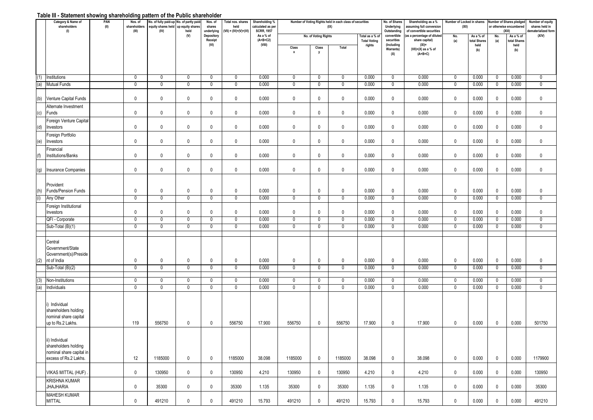## **Table III - Statement showing shareholding pattern of the Public shareholder**

|            | Category & Name of<br>shareholders<br>(1)                                                   | PAN<br>(II) | Nos. of<br>shareholders<br>(III) | No. of fully paid-up No. of partly paid-<br>equity shares held up equity shares<br>(IV) | held<br>(V)      | Nos. of<br>shares<br>underlying<br>Depository | Total nos. shares<br>held<br>$(VII) = (IV)+(V)+(VI)$ | Shareholding %<br>calculated as per<br><b>SCRR, 1957</b><br>As a % of |                               | No. of Voting Rights | Number of Voting Rights held in each class of securities<br>(IX) | Total as a % of               | No. of Shares<br>Underlying<br>Outstanding<br>convertible | Shareholding as a %<br>assuming full conversion<br>of convertible securities<br>as a percentage of diluted | Number of Locked in shares<br>(XII)<br>No. | As a % of           | No.                        | Number of Shares pledged<br>or otherwise encumbered<br>(X  i)<br>As a % of | Number of equity<br>shares held in<br>dematerialized form<br>(XIV) |
|------------|---------------------------------------------------------------------------------------------|-------------|----------------------------------|-----------------------------------------------------------------------------------------|------------------|-----------------------------------------------|------------------------------------------------------|-----------------------------------------------------------------------|-------------------------------|----------------------|------------------------------------------------------------------|-------------------------------|-----------------------------------------------------------|------------------------------------------------------------------------------------------------------------|--------------------------------------------|---------------------|----------------------------|----------------------------------------------------------------------------|--------------------------------------------------------------------|
|            |                                                                                             |             |                                  |                                                                                         |                  | Receipt<br>(VI)                               |                                                      | $(A+B+C2)$<br>(VIII)                                                  |                               |                      |                                                                  | <b>Total Voting</b><br>rights |                                                           | share capital)<br>$(XI) =$                                                                                 | (a)                                        | otal Shares<br>held | (a)                        | total Shares<br>held                                                       |                                                                    |
|            |                                                                                             |             |                                  |                                                                                         |                  |                                               |                                                      |                                                                       | Class<br>$\pmb{\chi}$         | Class<br>y           | Total                                                            |                               | (Including<br><b>Warrants)</b><br>(X)                     | $(VII)+(X)$ as a % of<br>$(A+B+C)$                                                                         |                                            | (b)                 |                            | (b)                                                                        |                                                                    |
|            |                                                                                             |             |                                  |                                                                                         |                  |                                               |                                                      |                                                                       |                               |                      |                                                                  |                               |                                                           |                                                                                                            |                                            |                     |                            |                                                                            |                                                                    |
| (1)        | Institutions                                                                                |             | $\mathbf 0$                      | $\mathbf 0$                                                                             | 0                | 0                                             | 0                                                    | 0.000                                                                 | $\mathbf 0$                   | 0                    | $\overline{0}$                                                   | 0.000                         | 0                                                         | 0.000                                                                                                      | $\mathbf 0$                                | 0.000               | $\mathbf 0$                | 0.000                                                                      | 0                                                                  |
| (a)        | <b>Mutual Funds</b>                                                                         |             | $\mathbf 0$                      | $\mathbf 0$                                                                             | 0                | $\mathbf 0$                                   | $\mathbf 0$                                          | 0.000                                                                 | $\mathbf 0$                   | 0                    | $\mathbf 0$                                                      | 0.000                         | $\mathbf{0}$                                              | 0.000                                                                                                      | $\mathbf 0$                                | 0.000               | $\mathbf 0$                | 0.000                                                                      | $\mathbf 0$                                                        |
| (b)        | Venture Capital Funds                                                                       |             | $\mathbf 0$                      | $\pmb{0}$                                                                               | 0                | $\mathbf 0$                                   | 0                                                    | 0.000                                                                 | $\mathbf 0$                   | 0                    | $\mathbf 0$                                                      | 0.000                         | $\mathbf 0$                                               | 0.000                                                                                                      | $\mathbf 0$                                | 0.000               | $\mathbf 0$                | 0.000                                                                      | $\mathbf 0$                                                        |
| (c)        | Alternate Investment<br>Funds                                                               |             | $\mathbf 0$                      | $\pmb{0}$                                                                               | $\mathbf 0$      | $\mathbf 0$                                   | $\mathbf 0$                                          | 0.000                                                                 | $\mathbf 0$                   | 0                    | $\mathbf 0$                                                      | 0.000                         | $\mathbf 0$                                               | 0.000                                                                                                      | $\mathbf 0$                                | 0.000               | $\mathbf 0$                | 0.000                                                                      | $\mathbf 0$                                                        |
| (d)        | Foreign Venture Capital<br>Investors                                                        |             | $\mathbf 0$                      | $\mathbf 0$                                                                             | 0                | $\mathbf 0$                                   | 0                                                    | 0.000                                                                 | $\mathbf 0$                   | 0                    | $\mathbf 0$                                                      | 0.000                         | 0                                                         | 0.000                                                                                                      | 0                                          | 0.000               | $\mathbf 0$                | 0.000                                                                      | $\mathbf 0$                                                        |
| (e)        | Foreign Portfolio<br>Investors                                                              |             | $\mathbf 0$                      | $\mathbf 0$                                                                             | 0                | $\mathbf 0$                                   | 0                                                    | 0.000                                                                 | $\mathbf 0$                   | 0                    | $\mathbf 0$                                                      | 0.000                         | 0                                                         | 0.000                                                                                                      | $\mathbf 0$                                | 0.000               | $\mathbf 0$                | 0.000                                                                      | $\mathbf 0$                                                        |
| (f)        | Financial<br>nstitutions/Banks                                                              |             | $\mathbf 0$                      | $\pmb{0}$                                                                               | $\mathbf 0$      | $\mathbf 0$                                   | 0                                                    | 0.000                                                                 | $\pmb{0}$                     | 0                    | $\mathbf 0$                                                      | 0.000                         | $\mathbf{0}$                                              | 0.000                                                                                                      | $\mathbf 0$                                | 0.000               | $\mathbf 0$                | 0.000                                                                      | 0                                                                  |
| (g)        | Insurance Companies                                                                         |             | $\mathbf 0$                      | $\mathbf 0$                                                                             | 0                | $\mathbf 0$                                   | 0                                                    | 0.000                                                                 | $\mathbf 0$                   | 0                    | $\mathbf 0$                                                      | 0.000                         | 0                                                         | 0.000                                                                                                      | $\mathbf 0$                                | 0.000               | $\mathbf 0$                | 0.000                                                                      | 0                                                                  |
|            | Provident                                                                                   |             |                                  |                                                                                         |                  |                                               |                                                      |                                                                       |                               |                      |                                                                  |                               |                                                           |                                                                                                            |                                            |                     |                            |                                                                            |                                                                    |
| (h)<br>(i) | <b>Funds/Pension Funds</b><br>Any Other                                                     |             | $\mathbf 0$<br>$\mathbf 0$       | $\mathbf 0$<br>$\mathbf 0$                                                              | 0<br>0           | $\mathbf 0$<br>0                              | $\mathbf 0$<br>0                                     | 0.000<br>0.000                                                        | $\mathbf 0$<br>$\mathbf 0$    | 0<br>0               | $\mathbf 0$<br>$\mathbf 0$                                       | 0.000<br>0.000                | $\mathbf 0$<br>0                                          | 0.000<br>0.000                                                                                             | $\mathbf 0$<br>$\mathbf 0$                 | 0.000<br>0.000      | $\mathbf 0$<br>0           | 0.000<br>0.000                                                             | 0<br>0                                                             |
|            | Foreign Institutional                                                                       |             |                                  |                                                                                         |                  |                                               |                                                      |                                                                       |                               |                      |                                                                  |                               |                                                           |                                                                                                            |                                            |                     |                            |                                                                            |                                                                    |
|            | Investors                                                                                   |             | $\mathbf 0$                      | $\mathbf 0$                                                                             | $\mathbf 0$      | $\mathbf 0$                                   | $\mathbf 0$                                          | 0.000                                                                 | $\mathbf 0$                   | $\mathbf{0}$         | $\mathbf 0$                                                      | 0.000                         | $\mathbf{0}$                                              | 0.000                                                                                                      | $\mathbf 0$                                | 0.000               | $\mathbf 0$                | 0.000                                                                      | 0                                                                  |
|            | QFI - Corporate                                                                             |             | $\mathbf 0$                      | $\mathbf 0$                                                                             | 0                | $\mathbf 0$                                   | 0                                                    | 0.000                                                                 | $\mathbf 0$                   | 0                    | $\mathbf 0$                                                      | 0.000                         | $\mathbf 0$                                               | 0.000                                                                                                      | $\mathbf 0$                                | 0.000               | $\mathbf 0$                | 0.000                                                                      | $\mathbf 0$                                                        |
|            | Sub-Total (B)(1)                                                                            |             | $\overline{0}$                   | $\overline{0}$                                                                          | $\mathbf 0$      | $\mathbf 0$                                   | $\mathbf 0$                                          | 0.000                                                                 | $\overline{0}$                | $\mathbf{0}$         | $\overline{0}$                                                   | 0.000                         | $\mathbf{0}$                                              | 0.000                                                                                                      | $\overline{0}$                             | 0.000               | $\mathbf 0$                | 0.000                                                                      | $\mathbf 0$                                                        |
|            |                                                                                             |             |                                  |                                                                                         |                  |                                               |                                                      |                                                                       |                               |                      |                                                                  |                               |                                                           |                                                                                                            |                                            |                     |                            |                                                                            |                                                                    |
|            | Central<br>Government/State<br>Government(s)/Preside                                        |             |                                  |                                                                                         |                  |                                               |                                                      |                                                                       |                               |                      |                                                                  |                               |                                                           |                                                                                                            |                                            |                     |                            |                                                                            |                                                                    |
| (2)        | nt of India<br>Sub-Total (B)(2)                                                             |             | $\mathbf 0$<br>$\overline{0}$    | $\mathbf 0$<br>$\overline{0}$                                                           | 0<br>$\mathbf 0$ | $\mathbf 0$<br>$\mathbf 0$                    | 0<br>0                                               | 0.000<br>0.000                                                        | $\mathbf 0$<br>$\overline{0}$ | 0<br>0               | $\mathbf 0$<br>$\overline{0}$                                    | 0.000<br>0.000                | 0<br>$\mathbf 0$                                          | 0.000<br>0.000                                                                                             | $\mathbf 0$<br>$\overline{0}$              | 0.000<br>0.000      | $\mathbf 0$<br>$\mathbf 0$ | 0.000<br>0.000                                                             | 0<br>$\mathbf 0$                                                   |
|            |                                                                                             |             |                                  |                                                                                         |                  |                                               |                                                      |                                                                       |                               |                      |                                                                  |                               |                                                           |                                                                                                            |                                            |                     |                            |                                                                            |                                                                    |
| 3)         | Non-Institutions                                                                            |             | $\mathbf 0$                      | $\mathbf 0$                                                                             | $\mathbf 0$      | 0                                             | 0                                                    | 0.000                                                                 | $\mathbf 0$                   | 0                    | $\mathbf 0$                                                      | 0.000                         | $\mathbf 0$                                               | 0.000                                                                                                      | $\mathbf 0$                                | 0.000               | $\mathbf 0$                | 0.000                                                                      | 0                                                                  |
| (a         | Individuals                                                                                 |             | $\mathbf 0$                      | $\mathbf 0$                                                                             | $\mathbf 0$      | $\mathbf 0$                                   | 0                                                    | 0.000                                                                 | $\mathbf 0$                   | 0                    | $\mathbf 0$                                                      | 0.000                         | 0                                                         | 0.000                                                                                                      | $\mathbf 0$                                | 0.000               | $\mathbf{0}$               | 0.000                                                                      | $\mathbf 0$                                                        |
|            | i) Individual<br>shareholders holding<br>nominal share capital<br>up to Rs.2 Lakhs.         |             | 119                              | 556750                                                                                  | 0                | 0                                             | 556750                                               | 17.900                                                                | 556750                        | $\mathbf 0$          | 556750                                                           | 17.900                        | 0                                                         | 17.900                                                                                                     | 0                                          | 0.000               | $\mathbf 0$                | 0.000                                                                      | 501750                                                             |
|            | ii) Individual<br>shareholders holding<br>nominal share capital in<br>excess of Rs.2 Lakhs. |             | 12                               | 1185000                                                                                 | $\mathbf 0$      | $\mathbf 0$                                   | 1185000                                              | 38.098                                                                | 1185000                       | $\mathbf{0}$         | 1185000                                                          | 38.098                        | $\mathbf{0}$                                              | 38.098                                                                                                     | $\mathbf 0$                                | 0.000               | $\mathbf 0$                | 0.000                                                                      | 1179900                                                            |
|            | <b>VIKAS MITTAL (HUF)</b>                                                                   |             | $\mathbf 0$                      | 130950                                                                                  | 0                | $\mathbf 0$                                   | 130950                                               | 4.210                                                                 | 130950                        | $\mathbf{0}$         | 130950                                                           | 4.210                         | $\mathbf 0$                                               | 4.210                                                                                                      | $\mathbf 0$                                | 0.000               | $\mathbf 0$                | 0.000                                                                      | 130950                                                             |
|            | <b>KRISHNA KUMAR</b><br><b>JHAJHARIA</b>                                                    |             | $\mathbf 0$                      | 35300                                                                                   | 0                | $\mathbf 0$                                   | 35300                                                | 1.135                                                                 | 35300                         | $\mathbf 0$          | 35300                                                            | 1.135                         | $\mathbf{0}$                                              | 1.135                                                                                                      | $\mathbf 0$                                | 0.000               | $\mathbf 0$                | 0.000                                                                      | 35300                                                              |
|            | <b>MAHESH KUMAR</b><br>MITTAL                                                               |             | $\mathbf 0$                      | 491210                                                                                  | 0                | $\mathbf 0$                                   | 491210                                               | 15.793                                                                | 491210                        | 0                    | 491210                                                           | 15.793                        | $\mathbf 0$                                               | 15.793                                                                                                     | $\mathbf 0$                                | 0.000               | $\mathbf 0$                | 0.000                                                                      | 491210                                                             |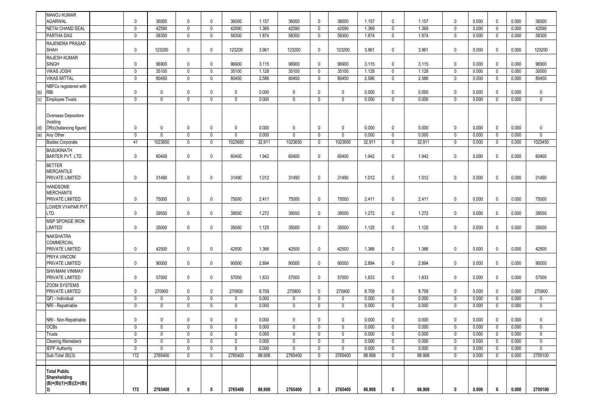|     | <b>MANOJ KUMAR</b>                                                    |                  |                         |                |             |              |                       |              |                   |                |                |             |                |                            |                |                  |                |                |
|-----|-----------------------------------------------------------------------|------------------|-------------------------|----------------|-------------|--------------|-----------------------|--------------|-------------------|----------------|----------------|-------------|----------------|----------------------------|----------------|------------------|----------------|----------------|
|     | <b>AGARWAL</b>                                                        | $\mathbf 0$      | 36000                   | $\mathbf 0$    | $\mathbf 0$ | 36000        | 1.157                 | 36000        | $\mathbf{0}$      | 36000          | 1.157          | 0           | 1.157          | $\mathbf 0$                | 0.000          | $\mathbf 0$      | 0.000          | 36000          |
|     | <b>NETAI CHAND SEAL</b>                                               | $\mathbf 0$      | 42590                   | 0              | 0           | 42590        | 1.369                 | 42590        | 0                 | 42590          | 1.369          | 0           | 1.369          | $\overline{0}$             | 0.000          | $\mathbf 0$      | 0.000          | 42590          |
|     | PARTHA DAS                                                            | $\overline{0}$   | 58300                   | $\overline{0}$ | $\mathbf 0$ | 58300        | 1.874                 | 58300        | $\mathbf 0$       | 58300          | 1.874          | $\mathbf 0$ | 1.874          | $\overline{0}$             | 0.000          | $\overline{0}$   | 0.000          | 58300          |
|     | RAJENDRA PRASAD<br><b>SHAH</b>                                        | $\mathbf 0$      | 123200                  | 0              | $\mathbf 0$ | 123200       | 3.961                 | 123200       | $\mathbf 0$       | 123200         | 3.961          | 0           | 3.961          | $\mathbf 0$                | 0.000          | $\mathbf 0$      | 0.000          | 123200         |
|     | <b>RAJESH KUMAR</b><br><b>SINGH</b>                                   | $\mathbf 0$      | 96900                   | $\mathbf 0$    | $\mathbf 0$ | 96900        | 3.115                 | 96900        | $\mathbf 0$       | 96900          | 3.115          | $\mathbf 0$ | 3.115          | $\mathbf 0$                | 0.000          | $\mathbf 0$      | 0.000          | 96900          |
|     | <b>VIKAS JOSHI</b>                                                    | $\mathbf 0$      | 35100                   | $\mathbf 0$    | $\mathbf 0$ | 35100        | 1.128                 | 35100        | $\mathbf 0$       | 35100          | 1.128          | $\mathbf 0$ | 1.128          | $\overline{0}$             | 0.000          | $\mathbf 0$      | 0.000          | 30000          |
|     | <b>VIKAS MITTAL</b>                                                   | $\mathbf 0$      | 80450                   | $\mathbf 0$    | $\mathbf 0$ | 80450        | 2.586                 | 80450        | 0                 | 80450          | 2.586          | 0           | 2.586          | $\mathbf 0$                | 0.000          | $\mathbf 0$      | 0.000          | 80450          |
|     | NBFCs registered with                                                 |                  |                         |                |             |              |                       |              |                   |                |                |             |                |                            |                |                  |                |                |
| (b) | <b>RBI</b>                                                            | $\mathbf 0$      | $\mathbf 0$             | 0              | $\mathbf 0$ | $\mathbf 0$  | 0.000                 | $\mathbf 0$  | $\mathbf 0$       | 0              | 0.000          | $\mathbf 0$ | 0.000          | $\mathbf 0$                | 0.000          | $\mathbf 0$      | 0.000          | $\mathbf 0$    |
| (c) | <b>Employee Trusts</b>                                                | $\mathbf 0$      | $\mathbf 0$             | $\mathbf{0}$   | $\mathbf 0$ | $\Omega$     | 0.000                 | $\mathbf{0}$ | $\mathbf{0}$      | $\mathbf 0$    | 0.000          | $\Omega$    | 0.000          | $\overline{0}$             | 0.000          | $\overline{0}$   | 0.000          | $\mathbf 0$    |
| (d) | Overseas Depositors<br>(holding<br>DRs)(balancing figure)             | $\mathbf 0$      | $\mathbf 0$             | $\mathbf 0$    | $\mathbf 0$ | $\mathbf 0$  | 0.000                 | $\mathbf 0$  | $\mathbf 0$       | $\mathbf 0$    | 0.000          | $\mathbf 0$ | 0.000          | $\mathbf 0$                | 0.000          | $\mathbf 0$      | 0.000          | $\mathbf 0$    |
| (e) | Any Other                                                             | $\overline{0}$   | $\overline{0}$          | 0              | 0           | $\mathbf 0$  | 0.000                 | $\mathbf 0$  | $\mathbf{0}$      | $\mathbf 0$    | 0.000          | 0           | 0.000          | $\overline{0}$             | 0.000          | $\overline{0}$   | 0.000          | $\overline{0}$ |
|     | <b>Bodies Corporate</b>                                               | 41               | 1023650                 | $\mathbf 0$    | $\mathbf 0$ | 1023650      | 32.911                | 1023650      | $\mathbf 0$       | 1023650        | 32.911         | $\mathbf 0$ | 32.911         | $\mathbf 0$                | 0.000          | $\mathbf 0$      | 0.000          | 1023450        |
|     | <b>BASUKINATH</b><br><b>BARTER PVT. LTD.</b>                          | $\mathbf 0$      | 60400                   | 0              | $\mathbf 0$ | 60400        | 1.942                 | 60400        | $\mathbf 0$       | 60400          | 1.942          | 0           | 1.942          | $\mathbf 0$                | 0.000          | $\mathbf 0$      | 0.000          | 60400          |
|     | <b>BETTER</b><br><b>MERCANTILE</b><br><b>PRIVATE LIMITED</b>          | $\mathbf 0$      | 31490                   | $\mathbf 0$    | $\mathbf 0$ | 31490        | 1.012                 | 31490        | $\mathbf 0$       | 31490          | 1.012          | 0           | 1.012          | $\mathbf 0$                | 0.000          | $\mathbf 0$      | 0.000          | 31490          |
|     | <b>HANDSOME</b><br><b>MERCHANTS</b><br><b>PRIVATE LIMITED</b>         | $\mathbf 0$      | 75000                   | $\mathbf 0$    | $\mathbf 0$ | 75000        | 2.411                 | 75000        | $\mathbf 0$       | 75000          | 2.411          | $\mathbf 0$ | 2.411          | $\mathbf 0$                | 0.000          | $\mathbf 0$      | 0.000          | 75000          |
|     | LOWER VYAPAR PVT<br>LTD.                                              | $\mathbf 0$      | 39550                   | $\mathbf 0$    | $\mathbf 0$ | 39550        | 1.272                 | 39550        | $\mathbf 0$       | 39550          | 1.272          | $\mathbf 0$ | 1.272          | $\mathbf 0$                | 0.000          | $\mathbf 0$      | 0.000          | 39550          |
|     | MSP SPONGE IRON<br>LIMITED                                            | $\mathbf 0$      | 35000                   | 0              | $\mathbf 0$ | 35000        | 1.125                 | 35000        | $\mathbf 0$       | 35000          | 1.125          | $\mathbf 0$ | 1.125          | $\mathbf 0$                | 0.000          | $\mathbf 0$      | 0.000          | 35000          |
|     | <b>NAKSHATRA</b><br><b>COMMERCIAL</b><br>PRIVATE LIMITED              | $\mathbf 0$      | 42500                   | 0              | 0           | 42500        | 1.366                 | 42500        | $\mathbf 0$       | 42500          | 1.366          | $\mathbf 0$ | 1.366          | $\mathbf 0$                | 0.000          | $\mathbf 0$      | 0.000          | 42500          |
|     | PRIYA VINCOM<br><b>PRIVATE LIMITED</b>                                | $\mathbf 0$      | 90000                   | 0              | $\mathbf 0$ | 90000        | 2.894                 | 90000        | $\mathbf 0$       | 90000          | 2.894          | 0           | 2.894          | $\mathbf 0$                | 0.000          | $\mathbf 0$      | 0.000          | 90000          |
|     | SHIVMANI VINIMAY<br><b>PRIVATE LIMITED</b>                            | $\mathbf 0$      | 57000                   | $\mathbf 0$    | $\mathbf 0$ | 57000        | 1.833                 | 57000        | $\mathbf 0$       | 57000          | 1.833          | $\mathbf 0$ | 1.833          | $\mathbf 0$                | 0.000          | $\mathbf 0$      | 0.000          | 57000          |
|     | <b>ZOOM SYSTEMS</b><br>PRIVATE LIMITED                                | $\mathbf 0$      | 270900                  | $\mathbf 0$    | $\mathbf 0$ | 270900       | 8.709                 | 270900       | $\mathbf 0$       | 270900         | 8.709          | 0           | 8.709          | $\mathbf 0$                | 0.000          | $\mathbf 0$      | 0.000          | 270900         |
|     | QFI - Individual                                                      | $\mathbf 0$      | 0                       | $\mathbf 0$    | $\mathbf 0$ | 0            | 0.000                 | 0            | $\mathbf 0$       | 0              | 0.000          | $\mathbf 0$ | 0.000          | $\overline{0}$             | 0.000          | $\mathbf 0$      | 0.000          | $\mathbf 0$    |
|     | NRI - Repatriable                                                     | $\mathbf 0$      | $\mathbf 0$             | $\mathbf 0$    | $\mathbf 0$ | $\mathbf 0$  | 0.000                 | $\mathbf 0$  | $\mathbf 0$       | $\mathbf 0$    | 0.000          | 0           | 0.000          | $\overline{0}$             | 0.000          | $\mathbf{0}$     | 0.000          | $\mathbf 0$    |
|     | NRI - Non-Repatriable                                                 | $\mathbf 0$      | $\mathbf 0$             | 0              | 0           | 0<br>0       | 0.000                 | 0            | $\mathbf 0$       | 0              | 0.000          | 0           | 0.000          | $\mathsf 0$                | 0.000          | $\mathbf 0$      | 0.000          | $\mathbf 0$    |
|     | <b>UUDS</b><br>Trusts                                                 | $\mathbf 0$<br>0 | 0<br>$\mathbf{0}$       | 0<br>0         | 0<br>0      | $\mathbf{0}$ | <b>U.UUU</b><br>0.000 | 0<br>0       | U<br>$\mathbf{0}$ | 0<br>0         | 0.000<br>0.000 | 0<br>0      | 0.000<br>0.000 | $\mathbf 0$<br>$\mathbf 0$ | 0.000<br>0.000 | 0<br>$\mathbf 0$ | 0.000<br>0.000 | 0<br>0         |
|     | <b>Clearing Memebers</b>                                              | $\mathbf 0$      | $\mathbf 0$             | 0              | 0           | 0            | 0.000                 | 0            | 0                 | 0              | 0.000          | 0           | 0.000          | $\mathbf 0$                | 0.000          | $\mathbf 0$      | 0.000          | $\mathbf 0$    |
|     | <b>IEPF Authority</b>                                                 | $\overline{0}$   | $\overline{\mathbf{0}}$ | 0              | $\mathbf 0$ | $\mathbf 0$  | 0.000                 | 0            | $\mathbf 0$       | $\overline{0}$ | 0.000          | $\mathbf 0$ | 0.000          | $\overline{0}$             | 0.000          | $\mathbf 0$      | 0.000          | $\mathbf 0$    |
|     | Sub-Total (B)(3)                                                      | 172              | 2765400                 | 0              | $\mathbf 0$ | 2765400      | 88.908                | 2765400      | $\mathbf{0}$      | 2765400        | 88.908         | 0           | 88.908         | $\mathbf 0$                | 0.000          | $\mathbf 0$      | 0.000          | 2705100        |
|     |                                                                       |                  |                         |                |             |              |                       |              |                   |                |                |             |                |                            |                |                  |                |                |
|     | <b>Total Public</b><br>Shareholding<br>$(B)=(B)(1)+(B)(2)+(B)($<br>3) | 172              | 2765400                 | 0              | $\mathbf 0$ | 2765400      | 88.908                | 2765400      | $\mathbf 0$       | 2765400        | 88.908         | 0           | 88.908         | $\mathbf 0$                | 0.000          | $\mathbf 0$      | 0.000          | 2705100        |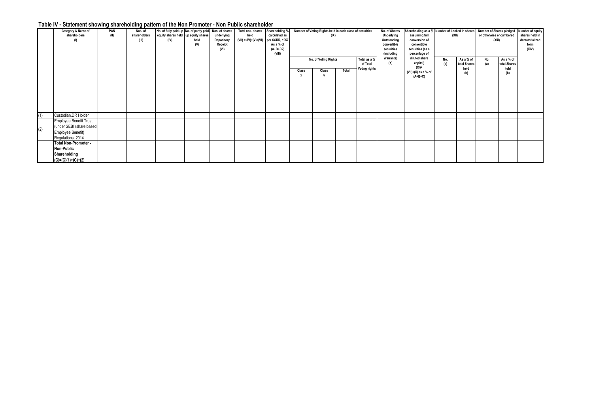## **Table IV - Statement showing shareholding pattern of the Non Promoter - Non Public shareholder**

|     | Category & Name of<br>shareholders                                                                  | PAN<br>(II) | Nos. of<br>shareholders<br>(III) | No. of fully paid-up No. of partly paid- Nos. of shares<br>equity shares held up equity shares<br>(IV) | held<br>(V) | underlying<br>Depository<br>Receipt<br>(VI) | Total nos. shares Shareholding %<br>held<br>$(VII) = (IV)+(V)+(VI)$ per SCRR, 1957 | calculated as<br>As a % of<br>$(A+B+C2)$<br>(VIII) |       | Number of Voting Rights held in each class of securities<br>(IX)<br>No. of Voting Rights |       | Total as a %                     | No. of Shares<br>Underlying<br>Outstanding<br>convertible<br>securities<br>(Including<br><b>Warrants)</b> | assuming full<br>conversion of<br>convertible<br>securities (as a<br>percentage of<br>diluted share | Shareholding as a % Number of Locked in shares Number of Shares pledged Number of equity<br>(XII) |                                   | or otherwise encumbered<br>(XIiI)<br>No.<br>As a % of |                      | shares held in<br>dematerialized<br>form<br>(XIV) |
|-----|-----------------------------------------------------------------------------------------------------|-------------|----------------------------------|--------------------------------------------------------------------------------------------------------|-------------|---------------------------------------------|------------------------------------------------------------------------------------|----------------------------------------------------|-------|------------------------------------------------------------------------------------------|-------|----------------------------------|-----------------------------------------------------------------------------------------------------------|-----------------------------------------------------------------------------------------------------|---------------------------------------------------------------------------------------------------|-----------------------------------|-------------------------------------------------------|----------------------|---------------------------------------------------|
|     |                                                                                                     |             |                                  |                                                                                                        |             |                                             |                                                                                    |                                                    |       |                                                                                          |       | of Total<br><b>Voting rights</b> | (X)                                                                                                       | capital)<br>(XI)=                                                                                   | No.<br>(a)                                                                                        | As a % of<br>total Shares<br>held | (a)                                                   | total Shares<br>held |                                                   |
|     |                                                                                                     |             |                                  |                                                                                                        |             |                                             |                                                                                    |                                                    | Class | Class                                                                                    | Total |                                  |                                                                                                           | $(VII)+(X)$ as a % of<br>$(A+B+C)$                                                                  |                                                                                                   | (b)                               |                                                       | (b)                  |                                                   |
| (1) | Custodian.DR Holder                                                                                 |             |                                  |                                                                                                        |             |                                             |                                                                                    |                                                    |       |                                                                                          |       |                                  |                                                                                                           |                                                                                                     |                                                                                                   |                                   |                                                       |                      |                                                   |
| (2) | <b>Employee Benefit Trust</b><br>(under SEBI (share based<br>Employee Benefit)<br>Regulations, 2014 |             |                                  |                                                                                                        |             |                                             |                                                                                    |                                                    |       |                                                                                          |       |                                  |                                                                                                           |                                                                                                     |                                                                                                   |                                   |                                                       |                      |                                                   |
|     | Total Non-Promoter -<br>Non-Public<br>Shareholding<br>$(C)=(C)(1)+(C)+(2)$                          |             |                                  |                                                                                                        |             |                                             |                                                                                    |                                                    |       |                                                                                          |       |                                  |                                                                                                           |                                                                                                     |                                                                                                   |                                   |                                                       |                      |                                                   |